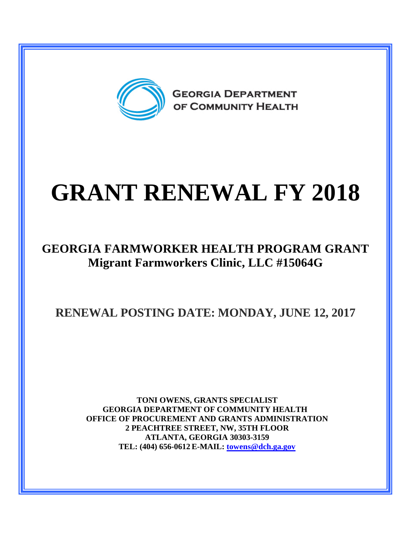

## **GRANT RENEWAL FY 2018**

## **GEORGIA FARMWORKER HEALTH PROGRAM GRANT Migrant Farmworkers Clinic, LLC #15064G**

**RENEWAL POSTING DATE: MONDAY, JUNE 12, 2017**

**TONI OWENS, GRANTS SPECIALIST GEORGIA DEPARTMENT OF COMMUNITY HEALTH OFFICE OF PROCUREMENT AND GRANTS ADMINISTRATION 2 PEACHTREE STREET, NW, 35TH FLOOR ATLANTA, GEORGIA 30303-3159 TEL: (404) 656-0612 E-MAIL: [towens@dch.ga.gov](mailto:towens@dch.ga.gov)**